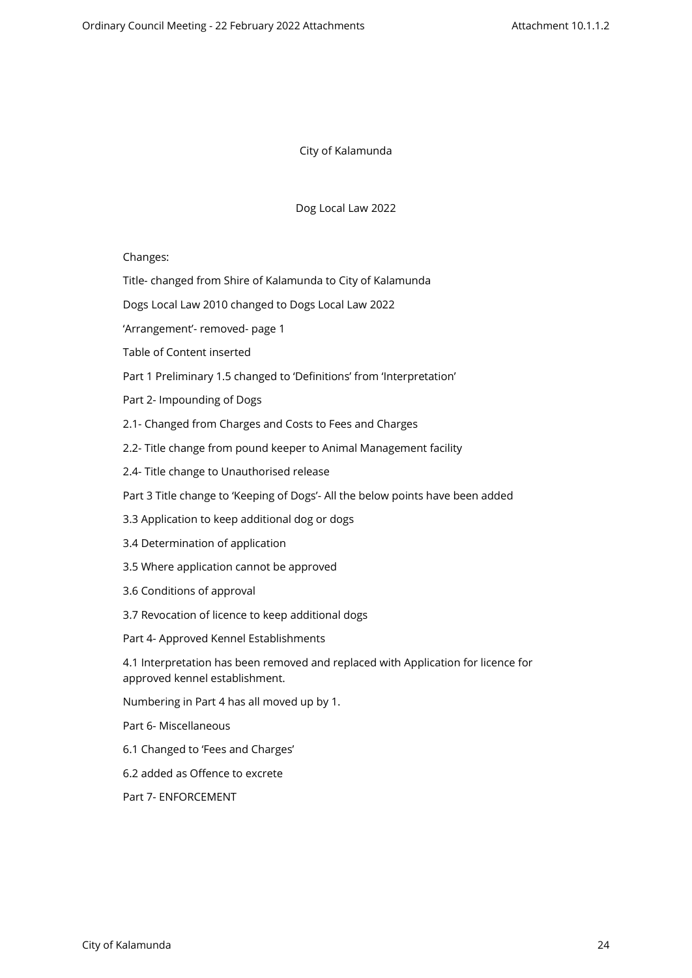City of Kalamunda

Dog Local Law 2022

Changes:

Title- changed from Shire of Kalamunda to City of Kalamunda

Dogs Local Law 2010 changed to Dogs Local Law 2022

'Arrangement'- removed- page 1

Table of Content inserted

Part 1 Preliminary 1.5 changed to 'Definitions' from 'Interpretation'

Part 2- Impounding of Dogs

2.1- Changed from Charges and Costs to Fees and Charges

2.2- Title change from pound keeper to Animal Management facility

2.4- Title change to Unauthorised release

Part 3 Title change to 'Keeping of Dogs'- All the below points have been added

- 3.3 Application to keep additional dog or dogs
- 3.4 Determination of application
- 3.5 Where application cannot be approved
- 3.6 Conditions of approval
- 3.7 Revocation of licence to keep additional dogs
- Part 4- Approved Kennel Establishments

4.1 Interpretation has been removed and replaced with Application for licence for approved kennel establishment.

Numbering in Part 4 has all moved up by 1.

Part 6- Miscellaneous

- 6.1 Changed to 'Fees and Charges'
- 6.2 added as Offence to excrete

Part 7- ENFORCEMENT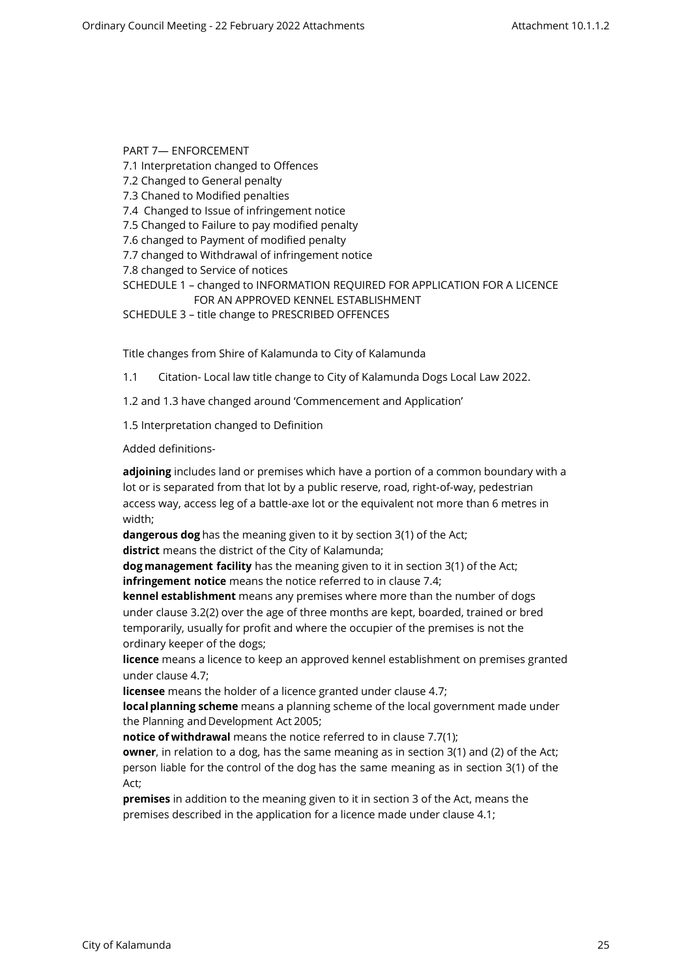PART 7— ENFORCEMENT 7.1 Interpretation changed to Offences 7.2 Changed to General penalty 7.3 Chaned to Modified penalties 7.4 Changed to Issue of infringement notice 7.5 Changed to Failure to pay modified penalty 7.6 changed to Payment of modified penalty 7.7 changed to Withdrawal of infringement notice 7.8 changed to Service of notices SCHEDULE 1 – changed to INFORMATION REQUIRED FOR APPLICATION FOR A LICENCE FOR AN APPROVED KENNEL ESTABLISHMENT

SCHEDULE 3 – title change to PRESCRIBED OFFENCES

Title changes from Shire of Kalamunda to City of Kalamunda

1.1 Citation- Local law title change to City of Kalamunda Dogs Local Law 2022.

1.2 and 1.3 have changed around 'Commencement and Application'

1.5 Interpretation changed to Definition

Added definitions-

**adjoining** includes land or premises which have a portion of a common boundary with a lot or is separated from that lot by a public reserve, road, right-of-way, pedestrian access way, access leg of a battle-axe lot or the equivalent not more than 6 metres in width;

**dangerous dog** has the meaning given to it by section 3(1) of the Act;

**district** means the district of the City of Kalamunda;

**dog management facility** has the meaning given to it in section 3(1) of the Act; **infringement notice** means the notice referred to in clause 7.4;

**kennel establishment** means any premises where more than the number of dogs under clause 3.2(2) over the age of three months are kept, boarded, trained or bred temporarily, usually for profit and where the occupier of the premises is not the ordinary keeper of the dogs;

**licence** means a licence to keep an approved kennel establishment on premises granted under clause 4.7;

**licensee** means the holder of a licence granted under clause 4.7;

**local planning scheme** means a planning scheme of the local government made under the Planning and Development Act 2005;

**notice of withdrawal** means the notice referred to in clause 7.7(1);

**owner**, in relation to a dog, has the same meaning as in section 3(1) and (2) of the Act; person liable for the control of the dog has the same meaning as in section 3(1) of the Act;

**premises** in addition to the meaning given to it in section 3 of the Act, means the premises described in the application for a licence made under clause 4.1;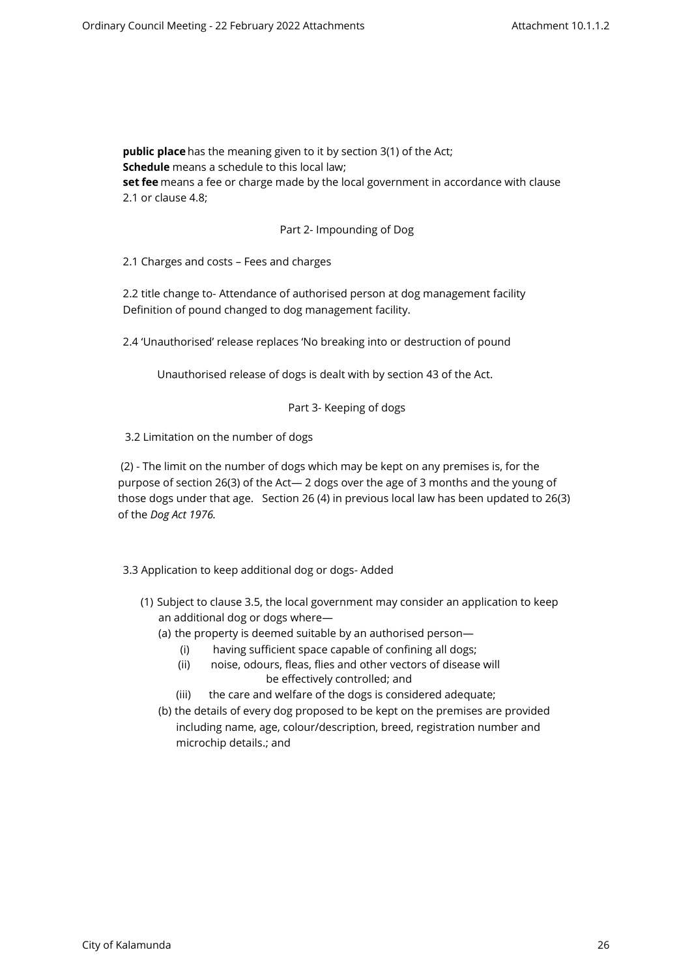**public place** has the meaning given to it by section 3(1) of the Act; **Schedule** means a schedule to this local law; **set fee** means a fee or charge made by the local government in accordance with clause 2.1 or clause 4.8;

### Part 2- Impounding of Dog

2.1 Charges and costs – Fees and charges

2.2 title change to- Attendance of authorised person at dog management facility Definition of pound changed to dog management facility.

2.4 'Unauthorised' release replaces 'No breaking into or destruction of pound

Unauthorised release of dogs is dealt with by section 43 of the Act.

#### Part 3- Keeping of dogs

3.2 Limitation on the number of dogs

 (2) - The limit on the number of dogs which may be kept on any premises is, for the purpose of section 26(3) of the Act— 2 dogs over the age of 3 months and the young of those dogs under that age. Section 26 (4) in previous local law has been updated to 26(3) of the *Dog Act 1976.* 

3.3 Application to keep additional dog or dogs- Added

- (1) Subject to clause 3.5, the local government may consider an application to keep an additional dog or dogs where—
	- (a) the property is deemed suitable by an authorised person—
		- (i) having sufficient space capable of confining all dogs;
		- (ii) noise, odours, fleas, flies and other vectors of disease will be effectively controlled; and
		- (iii) the care and welfare of the dogs is considered adequate;
	- (b) the details of every dog proposed to be kept on the premises are provided including name, age, colour/description, breed, registration number and microchip details.; and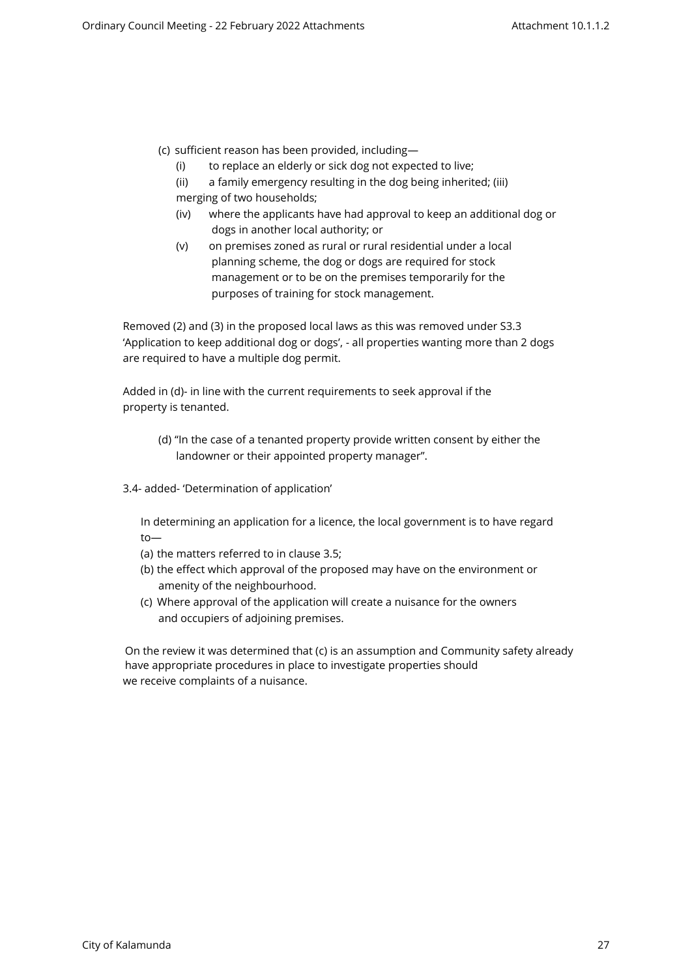- (c) sufficient reason has been provided, including—
	- (i) to replace an elderly or sick dog not expected to live;
	- (ii) a family emergency resulting in the dog being inherited; (iii) merging of two households;
	- (iv) where the applicants have had approval to keep an additional dog or dogs in another local authority; or
	- (v) on premises zoned as rural or rural residential under a local planning scheme, the dog or dogs are required for stock management or to be on the premises temporarily for the purposes of training for stock management.

Removed (2) and (3) in the proposed local laws as this was removed under S3.3 'Application to keep additional dog or dogs', - all properties wanting more than 2 dogs are required to have a multiple dog permit.

Added in (d)- in line with the current requirements to seek approval if the property is tenanted.

- (d) "In the case of a tenanted property provide written consent by either the landowner or their appointed property manager".
- 3.4- added- 'Determination of application'

In determining an application for a licence, the local government is to have regard to—

- (a) the matters referred to in clause 3.5;
- (b) the effect which approval of the proposed may have on the environment or amenity of the neighbourhood.
- (c) Where approval of the application will create a nuisance for the owners and occupiers of adjoining premises.

On the review it was determined that (c) is an assumption and Community safety already have appropriate procedures in place to investigate properties should we receive complaints of a nuisance.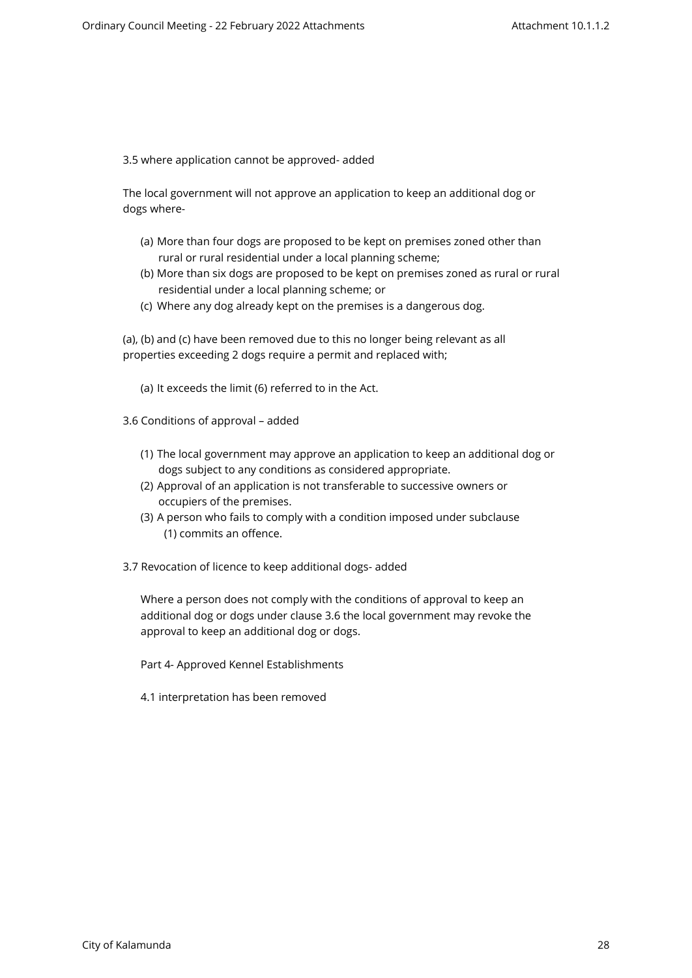3.5 where application cannot be approved- added

The local government will not approve an application to keep an additional dog or dogs where-

- (a) More than four dogs are proposed to be kept on premises zoned other than rural or rural residential under a local planning scheme;
- (b) More than six dogs are proposed to be kept on premises zoned as rural or rural residential under a local planning scheme; or
- (c) Where any dog already kept on the premises is a dangerous dog.

(a), (b) and (c) have been removed due to this no longer being relevant as all properties exceeding 2 dogs require a permit and replaced with;

(a) It exceeds the limit (6) referred to in the Act.

3.6 Conditions of approval – added

- (1) The local government may approve an application to keep an additional dog or dogs subject to any conditions as considered appropriate.
- (2) Approval of an application is not transferable to successive owners or occupiers of the premises.
- (3) A person who fails to comply with a condition imposed under subclause (1) commits an offence.
- 3.7 Revocation of licence to keep additional dogs- added

Where a person does not comply with the conditions of approval to keep an additional dog or dogs under clause 3.6 the local government may revoke the approval to keep an additional dog or dogs.

Part 4- Approved Kennel Establishments

4.1 interpretation has been removed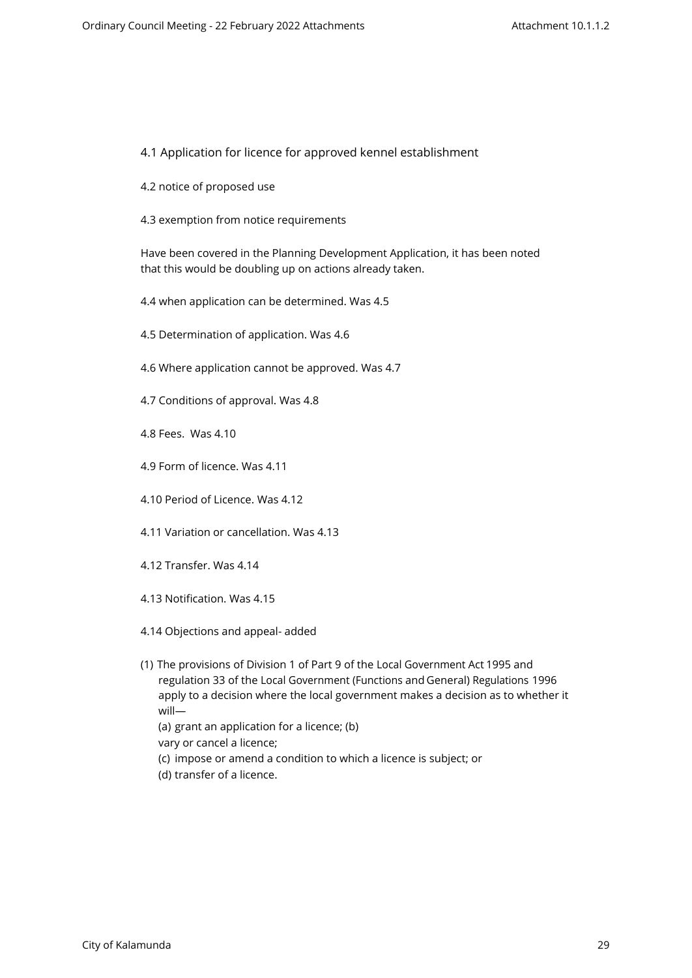## 4.1 Application for licence for approved kennel establishment

- 4.2 notice of proposed use
- 4.3 exemption from notice requirements

Have been covered in the Planning Development Application, it has been noted that this would be doubling up on actions already taken.

- 4.4 when application can be determined. Was 4.5
- 4.5 Determination of application. Was 4.6
- 4.6 Where application cannot be approved. Was 4.7
- 4.7 Conditions of approval. Was 4.8
- 4.8 Fees. Was 4.10
- 4.9 Form of licence. Was 4.11
- 4.10 Period of Licence. Was 4.12
- 4.11 Variation or cancellation. Was 4.13
- 4.12 Transfer. Was 4.14
- 4.13 Notification. Was 4.15
- 4.14 Objections and appeal- added
- (1) The provisions of Division 1 of Part 9 of the Local Government Act 1995 and regulation 33 of the Local Government (Functions and General) Regulations 1996 apply to a decision where the local government makes a decision as to whether it will—
	- (a) grant an application for a licence; (b)
	- vary or cancel a licence;
	- (c) impose or amend a condition to which a licence is subject; or
	- (d) transfer of a licence.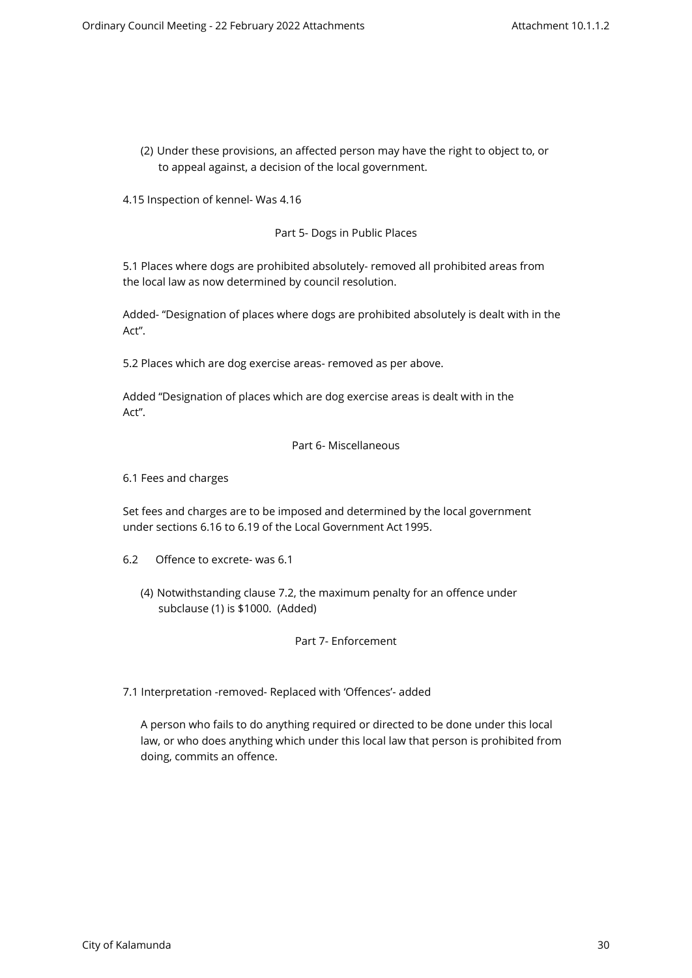(2) Under these provisions, an affected person may have the right to object to, or to appeal against, a decision of the local government.

4.15 Inspection of kennel- Was 4.16

Part 5- Dogs in Public Places

5.1 Places where dogs are prohibited absolutely- removed all prohibited areas from the local law as now determined by council resolution.

Added- "Designation of places where dogs are prohibited absolutely is dealt with in the Act".

5.2 Places which are dog exercise areas- removed as per above.

Added "Designation of places which are dog exercise areas is dealt with in the Act".

#### Part 6- Miscellaneous

6.1 Fees and charges

Set fees and charges are to be imposed and determined by the local government under sections 6.16 to 6.19 of the Local Government Act 1995.

- 6.2 Offence to excrete- was 6.1
	- (4) Notwithstanding clause 7.2, the maximum penalty for an offence under subclause (1) is \$1000. (Added)

# Part 7- Enforcement

7.1 Interpretation -removed- Replaced with 'Offences'- added

A person who fails to do anything required or directed to be done under this local law, or who does anything which under this local law that person is prohibited from doing, commits an offence.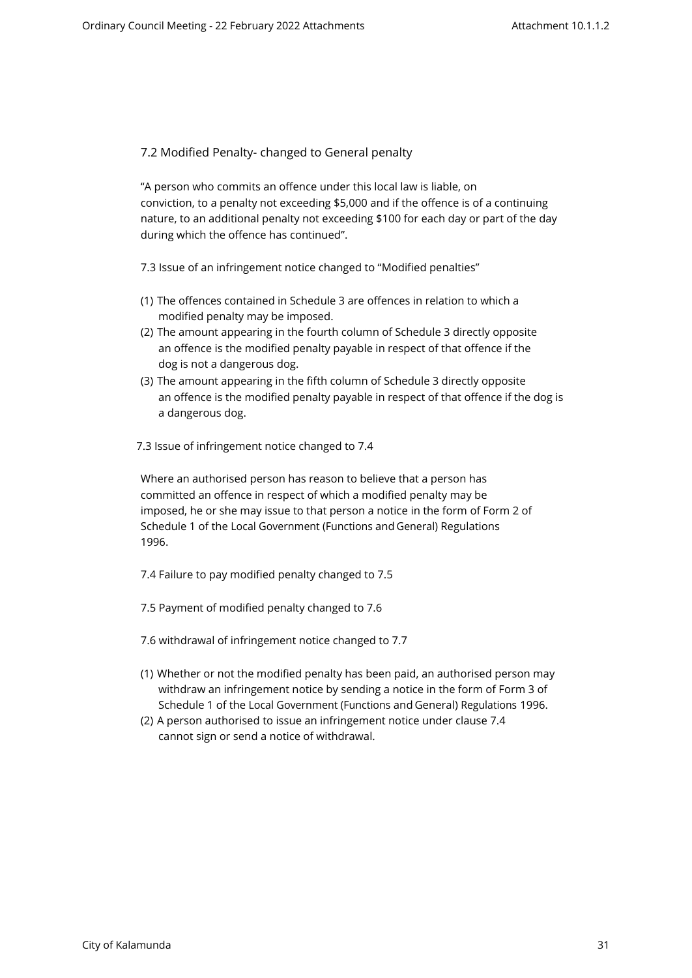7.2 Modified Penalty- changed to General penalty

"A person who commits an offence under this local law is liable, on conviction, to a penalty not exceeding \$5,000 and if the offence is of a continuing nature, to an additional penalty not exceeding \$100 for each day or part of the day during which the offence has continued".

7.3 Issue of an infringement notice changed to "Modified penalties"

- (1) The offences contained in Schedule 3 are offences in relation to which a modified penalty may be imposed.
- (2) The amount appearing in the fourth column of Schedule 3 directly opposite an offence is the modified penalty payable in respect of that offence if the dog is not a dangerous dog.
- (3) The amount appearing in the fifth column of Schedule 3 directly opposite an offence is the modified penalty payable in respect of that offence if the dog is a dangerous dog.
- 7.3 Issue of infringement notice changed to 7.4

Where an authorised person has reason to believe that a person has committed an offence in respect of which a modified penalty may be imposed, he or she may issue to that person a notice in the form of Form 2 of Schedule 1 of the Local Government (Functions and General) Regulations 1996.

- 7.4 Failure to pay modified penalty changed to 7.5
- 7.5 Payment of modified penalty changed to 7.6
- 7.6 withdrawal of infringement notice changed to 7.7
- (1) Whether or not the modified penalty has been paid, an authorised person may withdraw an infringement notice by sending a notice in the form of Form 3 of Schedule 1 of the Local Government (Functions and General) Regulations 1996.
- (2) A person authorised to issue an infringement notice under clause 7.4 cannot sign or send a notice of withdrawal.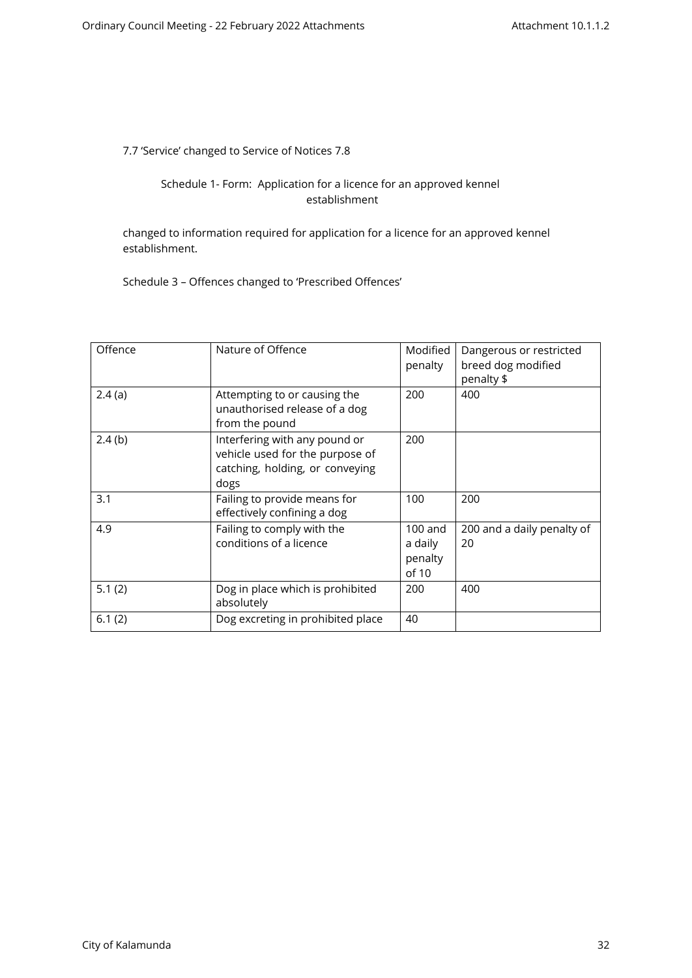7.7 'Service' changed to Service of Notices 7.8

# Schedule 1- Form: Application for a licence for an approved kennel establishment

changed to information required for application for a licence for an approved kennel establishment.

Schedule 3 – Offences changed to 'Prescribed Offences'

| Offence | Nature of Offence                                                                                           | Modified<br>penalty                      | Dangerous or restricted<br>breed dog modified<br>penalty \$ |
|---------|-------------------------------------------------------------------------------------------------------------|------------------------------------------|-------------------------------------------------------------|
| 2.4(a)  | Attempting to or causing the<br>unauthorised release of a dog<br>from the pound                             | 200                                      | 400                                                         |
| 2.4(b)  | Interfering with any pound or<br>vehicle used for the purpose of<br>catching, holding, or conveying<br>dogs | 200                                      |                                                             |
| 3.1     | Failing to provide means for<br>effectively confining a dog                                                 | 100                                      | 200                                                         |
| 4.9     | Failing to comply with the<br>conditions of a licence                                                       | $100$ and<br>a daily<br>penalty<br>of 10 | 200 and a daily penalty of<br>20                            |
| 5.1(2)  | Dog in place which is prohibited<br>absolutely                                                              | 200                                      | 400                                                         |
| 6.1(2)  | Dog excreting in prohibited place                                                                           | 40                                       |                                                             |